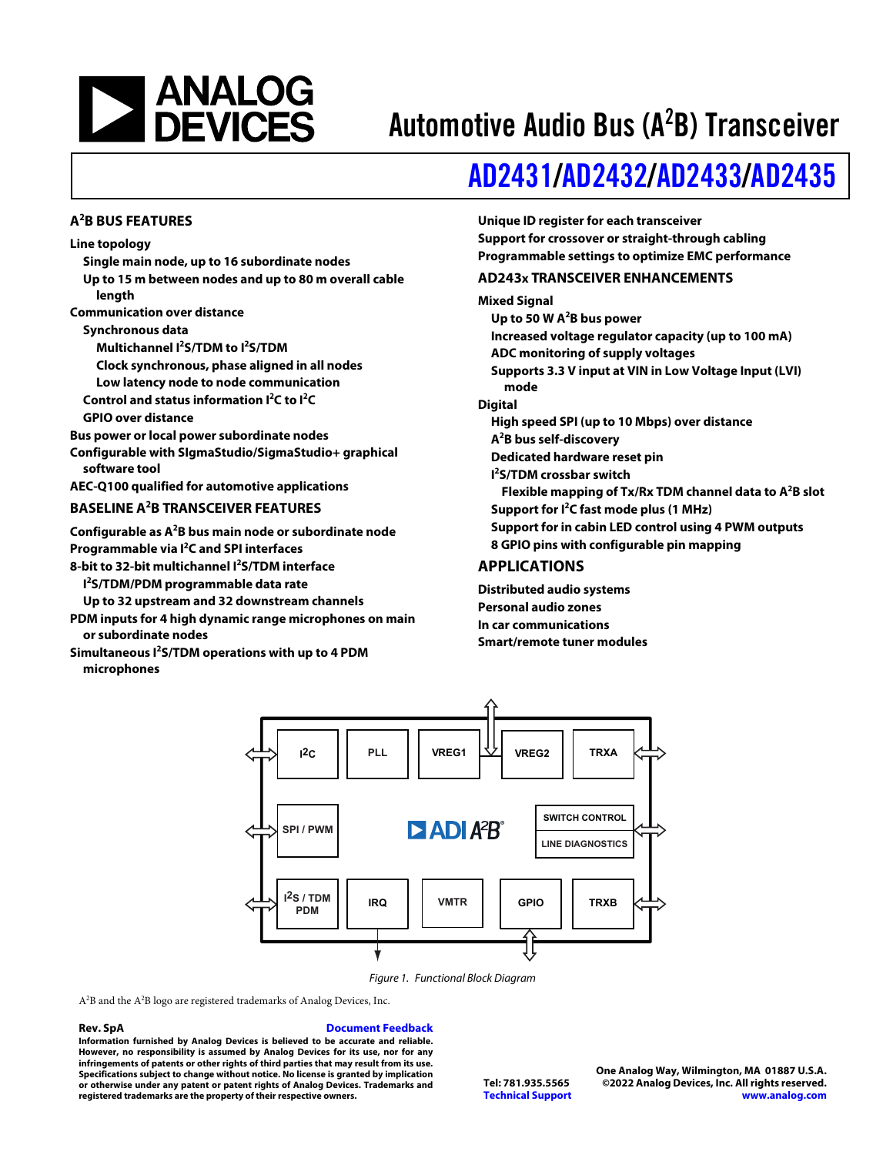

## Automotive Audio Bus (A<sup>2</sup>B) Transceiver

## [AD2431/](https://www.analog.com/AD2431W)[AD2432/](https://www.analog.com/AD2432W)[AD2433](https://www.analog.com/AD2433W)[/AD2435](https://www.analog.com/AD2435W)

### **A2 B BUS FEATURES**

### **Line topology**

- **Single main node, up to 16 subordinate nodes Up to 15 m between nodes and up to 80 m overall cable**
- **length Communication over distance**
- **Synchronous data**
	- **Multichannel I2 S/TDM to I2 S/TDM**
	- **Clock synchronous, phase aligned in all nodes**
	- **Low latency node to node communication**
	- **Control and status information I2 C to I<sup>2</sup> C**
	- **GPIO over distance**
- **Bus power or local power subordinate nodes**
- **Configurable with SIgmaStudio/SigmaStudio+ graphical software tool**
- **AEC-Q100 qualified for automotive applications**

### **BASELINE A<sup>2</sup> B TRANSCEIVER FEATURES**

- **Configurable as A2 B bus main node or subordinate node Programmable via I2 C and SPI interfaces**
- **8-bit to 32-bit multichannel I<sup>2</sup> S/TDM interface**
	- **I 2 S/TDM/PDM programmable data rate**
- **Up to 32 upstream and 32 downstream channels**
- **PDM inputs for 4 high dynamic range microphones on main or subordinate nodes**
- **Simultaneous I<sup>2</sup> S/TDM operations with up to 4 PDM microphones**

### **Unique ID register for each transceiver Support for crossover or straight-through cabling Programmable settings to optimize EMC performance**

### **AD243x TRANSCEIVER ENHANCEMENTS**

### **Mixed Signal**

| Up to 50 W $A^2B$ bus power                                         |  |
|---------------------------------------------------------------------|--|
| Increased voltage regulator capacity (up to 100 mA)                 |  |
| ADC monitoring of supply voltages                                   |  |
| Supports 3.3 V input at VIN in Low Voltage Input (LVI)<br>mode      |  |
| <b>Digital</b>                                                      |  |
| High speed SPI (up to 10 Mbps) over distance                        |  |
| A <sup>2</sup> B bus self-discovery                                 |  |
| Dedicated hardware reset pin                                        |  |
| <b>I</b> <sup>2</sup> S/TDM crossbar switch                         |  |
| Flexible mapping of Tx/Rx TDM channel data to A <sup>2</sup> B slot |  |
| Support for <sup>2</sup> C fast mode plus (1 MHz)                   |  |
| Support for in cabin LED control using 4 PWM outputs                |  |
| 8 GPIO pins with configurable pin mapping                           |  |
| <b>APPLICATIONS</b>                                                 |  |

**Distributed audio systems Personal audio zones In car communications Smart/remote tuner modules**



Figure 1. Functional Block Diagram

 $\rm A^2B$  and the  $\rm A^2B$  logo are registered trademarks of Analog Devices, Inc.

### **Rev. SpA [Document Feedback](https://form.analog.com/Form_Pages/feedback/documentfeedback.aspx?doc=AD2431-32-33-35.pdf&product=AD2431%20AD2432%20AD2433%20AD2435&rev=SpA)**

**Information furnished by Analog Devices is believed to be accurate and reliable. However, no responsibility is assumed by Analog Devices for its use, nor for any infringements of patents or other rights of third parties that may result from its use. Specifications subject to change without notice. No license is granted by implication or otherwise under any patent or patent rights of Analog Devices. Trademarks and registered trademarks are the property of their respective owners.**

**One Analog Way, Wilmington, MA 01887 U.S.A. Tel: 781.935.5565 ©2022 Analog Devices, Inc. All rights reserved. [Technical Support](https://www.analog.com/en/content/technical_support_page/fca.html) [www.analog.com](https://www.analog.com)**